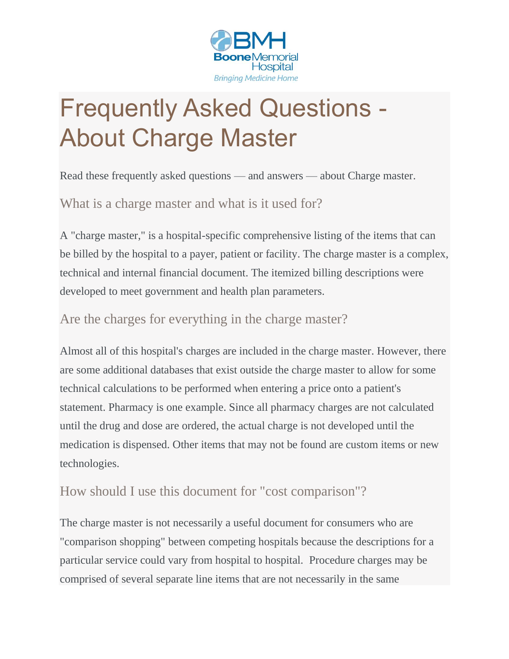

## Frequently Asked Questions - About Charge Master

Read these frequently asked questions — and answers — about Charge master.

What is a charge master and what is it used for?

A "charge master," is a hospital-specific comprehensive listing of the items that can be billed by the hospital to a payer, patient or facility. The charge master is a complex, technical and internal financial document. The itemized billing descriptions were developed to meet government and health plan parameters.

## Are the charges for everything in the charge master?

Almost all of this hospital's charges are included in the charge master. However, there are some additional databases that exist outside the charge master to allow for some technical calculations to be performed when entering a price onto a patient's statement. Pharmacy is one example. Since all pharmacy charges are not calculated until the drug and dose are ordered, the actual charge is not developed until the medication is dispensed. Other items that may not be found are custom items or new technologies.

## How should I use this document for "cost comparison"?

The charge master is not necessarily a useful document for consumers who are "comparison shopping" between competing hospitals because the descriptions for a particular service could vary from hospital to hospital. Procedure charges may be comprised of several separate line items that are not necessarily in the same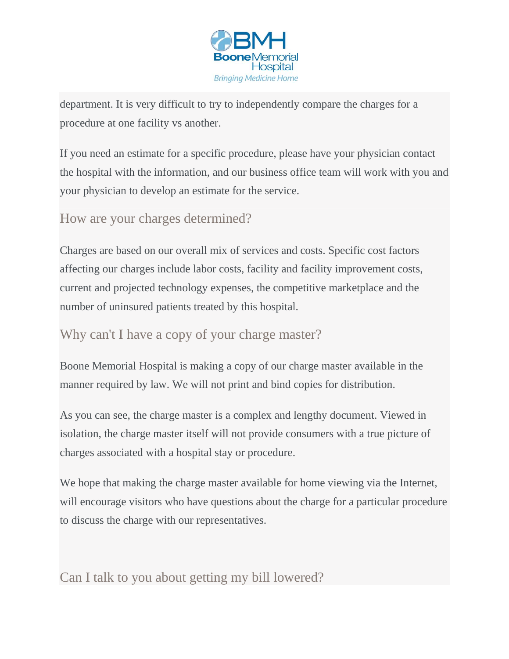

department. It is very difficult to try to independently compare the charges for a procedure at one facility vs another.

If you need an estimate for a specific procedure, please have your physician contact the hospital with the information, and our business office team will work with you and your physician to develop an estimate for the service.

How are your charges determined?

Charges are based on our overall mix of services and costs. Specific cost factors affecting our charges include labor costs, facility and facility improvement costs, current and projected technology expenses, the competitive marketplace and the number of uninsured patients treated by this hospital.

Why can't I have a copy of your charge master?

Boone Memorial Hospital is making a copy of our charge master available in the manner required by law. We will not print and bind copies for distribution.

As you can see, the charge master is a complex and lengthy document. Viewed in isolation, the charge master itself will not provide consumers with a true picture of charges associated with a hospital stay or procedure.

We hope that making the charge master available for home viewing via the Internet, will encourage visitors who have questions about the charge for a particular procedure to discuss the charge with our representatives.

Can I talk to you about getting my bill lowered?